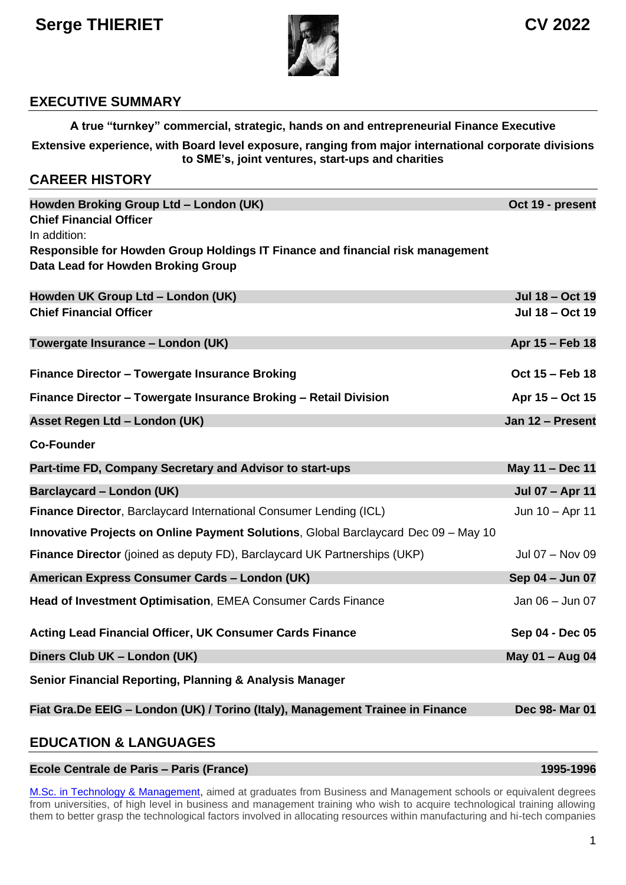## **Serge THIERIET And Serge THIERIET**



#### **EXECUTIVE SUMMARY**

**A true "turnkey" commercial, strategic, hands on and entrepreneurial Finance Executive** 

**Extensive experience, with Board level exposure, ranging from major international corporate divisions to SME's, joint ventures, start-ups and charities**

| <b>CAREER HISTORY</b>                                                          |                  |
|--------------------------------------------------------------------------------|------------------|
| Howden Broking Group Ltd - London (UK)                                         | Oct 19 - present |
| <b>Chief Financial Officer</b>                                                 |                  |
| In addition:                                                                   |                  |
| Responsible for Howden Group Holdings IT Finance and financial risk management |                  |
|                                                                                |                  |

**Data Lead for Howden Broking Group**

| Howden UK Group Ltd - London (UK)                                                   | Jul 18 - Oct 19        |
|-------------------------------------------------------------------------------------|------------------------|
| <b>Chief Financial Officer</b>                                                      | Jul 18 - Oct 19        |
| Towergate Insurance - London (UK)                                                   | Apr 15 - Feb 18        |
| Finance Director - Towergate Insurance Broking                                      | Oct 15 - Feb 18        |
| Finance Director - Towergate Insurance Broking - Retail Division                    | Apr 15 – Oct 15        |
| Asset Regen Ltd - London (UK)                                                       | Jan 12 - Present       |
| <b>Co-Founder</b>                                                                   |                        |
| Part-time FD, Company Secretary and Advisor to start-ups                            | May 11 - Dec 11        |
| Barclaycard - London (UK)                                                           | <b>Jul 07 - Apr 11</b> |
| Finance Director, Barclaycard International Consumer Lending (ICL)                  | Jun 10 - Apr 11        |
| Innovative Projects on Online Payment Solutions, Global Barclaycard Dec 09 - May 10 |                        |
| <b>Finance Director</b> (joined as deputy FD), Barclaycard UK Partnerships (UKP)    | Jul 07 - Nov 09        |
| American Express Consumer Cards - London (UK)                                       | Sep 04 - Jun 07        |
| Head of Investment Optimisation, EMEA Consumer Cards Finance                        | Jan 06 - Jun 07        |
| <b>Acting Lead Financial Officer, UK Consumer Cards Finance</b>                     | Sep 04 - Dec 05        |
| Diners Club UK - London (UK)                                                        | May 01 - Aug 04        |
| Senior Financial Reporting, Planning & Analysis Manager                             |                        |
| Fiat Gra.De EEIG - London (UK) / Torino (Italy), Management Trainee in Finance      | Dec 98- Mar 01         |

## **EDUCATION & LANGUAGES**

## **Ecole Centrale de Paris – Paris (France) 1995-1996**

[M.Sc. in Technology & Management,](http://www.ecp.fr/cms/lang/en/Academics/Advanced_Masters/Dual_Competence_Management_and_Technologies/advanced_master_technology_and_management) aimed at graduates from Business and Management schools or equivalent degrees from universities, of high level in business and management training who wish to acquire technological training allowing them to better grasp the technological factors involved in allocating resources within manufacturing and hi-tech companies